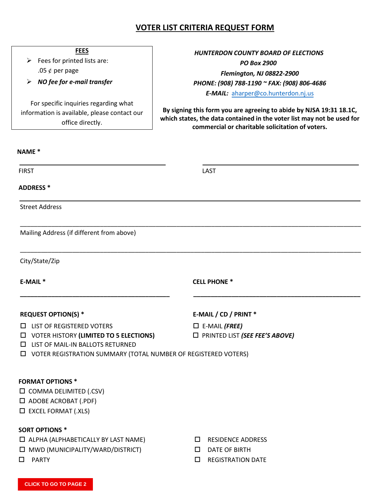# **VOTER LIST CRITERIA REQUEST FORM**

### **FEES**

- $\triangleright$  Fees for printed lists are: .05  $\rlap{/}$  per page
- *NO fee for e-mail transfer*

For specific inquiries regarding what information is available, please contact our office directly.

# *HUNTERDON COUNTY BOARD OF ELECTIONS PO Box 2900 Flemington, NJ 08822-2900 PHONE: (908) 788-1190 ~ FAX: (908) 806-4686 E-MAIL:* [aharper@co.hunterdon.nj.us](mailto:aharper@co.hunterdon.nj.us)

**By signing this form you are agreeing to abide by NJSA 19:31 18.1C, which states, the data contained in the voter list may not be used for commercial or charitable solicitation of voters.**

### **NAME \***

FIRST LAST

\_\_\_\_\_\_\_\_\_\_\_\_\_\_\_\_\_\_\_\_\_\_\_\_\_\_\_\_\_\_\_\_\_\_\_\_\_\_\_\_\_\_\_\_\_\_\_\_\_\_\_\_\_\_\_\_\_\_\_\_\_\_\_\_\_\_\_\_\_\_\_\_\_\_\_\_\_\_\_\_\_\_\_\_\_\_\_\_\_\_\_\_\_\_\_\_\_\_

\_\_\_\_\_\_\_\_\_\_\_\_\_\_\_\_\_\_\_\_\_\_\_\_\_\_\_\_\_\_\_\_\_\_\_\_\_\_\_\_\_\_\_\_\_\_\_\_\_\_\_\_\_\_\_\_\_\_\_\_\_\_\_\_\_\_\_\_\_\_\_\_\_\_\_\_\_\_\_\_\_\_\_\_\_\_\_\_\_\_\_\_\_\_\_\_\_\_

**\_\_\_\_\_\_\_\_\_\_\_\_\_\_\_\_\_\_\_\_\_\_\_\_\_\_\_\_\_\_\_\_\_\_\_\_\_\_\_\_\_\_\_ \_\_\_\_\_\_\_\_\_\_\_\_\_\_\_\_\_\_\_\_\_\_\_\_\_\_\_\_\_\_\_\_\_\_\_\_\_\_\_\_\_\_\_\_\_\_\_\_**

### **ADDRESS \***

Street Address

Mailing Address (if different from above)

City/State/Zip

**E-MAIL \* CELL PHONE \***

#### **REQUEST OPTION(S) \* E-MAIL / CD / PRINT \***

- LIST OF REGISTERED VOTERS E-MAIL *(FREE)*
- VOTER HISTORY **(LIMITED TO 5 ELECTIONS)** PRINTED LIST *(SEE FEE'S ABOVE)*
- **LIST OF MAIL-IN BALLOTS RETURNED**
- VOTER REGISTRATION SUMMARY (TOTAL NUMBER OF REGISTERED VOTERS)

### **FORMAT OPTIONS \***

- $\square$  COMMA DELIMITED (.CSV)
- $\square$  ADOBE ACROBAT (.PDF)
- $\square$  EXCEL FORMAT (.XLS)

### **SORT OPTIONS \***

- ALPHA (ALPHABETICALLY BY LAST NAME) RESIDENCE ADDRESS
- $\Box$  MWD (MUNICIPALITY/WARD/DISTRICT)  $\Box$  DATE OF BIRTH
- 
- 
- 
- □ PARTY BEGISTRATION DATE

**CLICK TO GO TO PAGE 2**